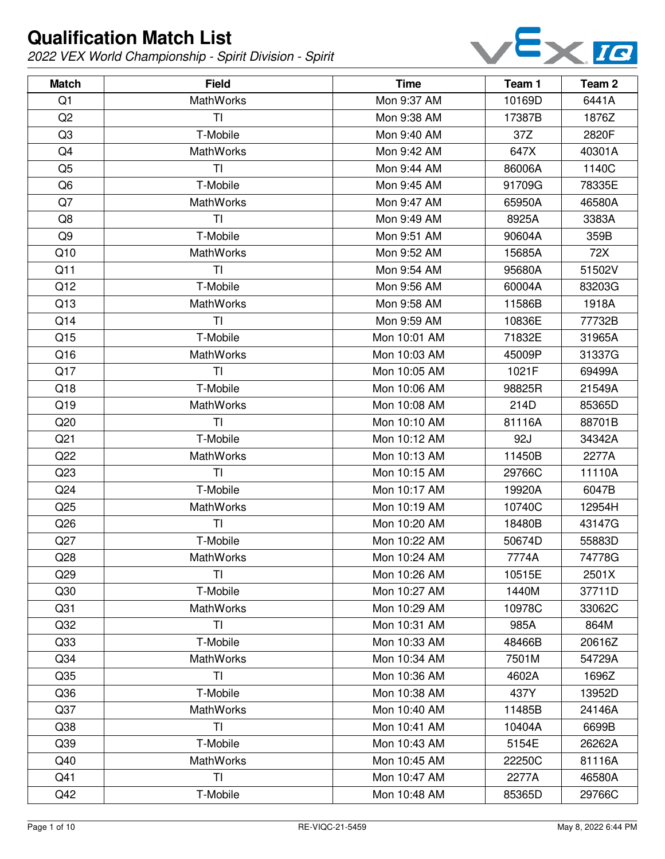

| <b>Match</b>    | <b>Field</b>     | <b>Time</b>  | Team 1 | Team 2 |
|-----------------|------------------|--------------|--------|--------|
| Q1              | <b>MathWorks</b> | Mon 9:37 AM  | 10169D | 6441A  |
| Q2              | ΤI               | Mon 9:38 AM  | 17387B | 1876Z  |
| Q <sub>3</sub>  | T-Mobile         | Mon 9:40 AM  | 37Z    | 2820F  |
| Q4              | <b>MathWorks</b> | Mon 9:42 AM  | 647X   | 40301A |
| Q <sub>5</sub>  | <b>TI</b>        | Mon 9:44 AM  | 86006A | 1140C  |
| Q <sub>6</sub>  | T-Mobile         | Mon 9:45 AM  | 91709G | 78335E |
| Q7              | <b>MathWorks</b> | Mon 9:47 AM  | 65950A | 46580A |
| Q8              | TI               | Mon 9:49 AM  | 8925A  | 3383A  |
| Q9              | T-Mobile         | Mon 9:51 AM  | 90604A | 359B   |
| Q10             | <b>MathWorks</b> | Mon 9:52 AM  | 15685A | 72X    |
| Q11             | <b>TI</b>        | Mon 9:54 AM  | 95680A | 51502V |
| Q12             | T-Mobile         | Mon 9:56 AM  | 60004A | 83203G |
| Q13             | <b>MathWorks</b> | Mon 9:58 AM  | 11586B | 1918A  |
| Q14             | TI               | Mon 9:59 AM  | 10836E | 77732B |
| Q15             | T-Mobile         | Mon 10:01 AM | 71832E | 31965A |
| Q16             | <b>MathWorks</b> | Mon 10:03 AM | 45009P | 31337G |
| Q17             | TI               | Mon 10:05 AM | 1021F  | 69499A |
| Q18             | T-Mobile         | Mon 10:06 AM | 98825R | 21549A |
| Q19             | <b>MathWorks</b> | Mon 10:08 AM | 214D   | 85365D |
| Q20             | TI               | Mon 10:10 AM | 81116A | 88701B |
| Q <sub>21</sub> | T-Mobile         | Mon 10:12 AM | 92J    | 34342A |
| Q22             | <b>MathWorks</b> | Mon 10:13 AM | 11450B | 2277A  |
| Q <sub>23</sub> | TI               | Mon 10:15 AM | 29766C | 11110A |
| Q24             | T-Mobile         | Mon 10:17 AM | 19920A | 6047B  |
| Q25             | <b>MathWorks</b> | Mon 10:19 AM | 10740C | 12954H |
| Q26             | TI               | Mon 10:20 AM | 18480B | 43147G |
| Q27             | T-Mobile         | Mon 10:22 AM | 50674D | 55883D |
| Q28             | MathWorks        | Mon 10:24 AM | 7774A  | 74778G |
| Q29             | ΤI               | Mon 10:26 AM | 10515E | 2501X  |
| Q30             | T-Mobile         | Mon 10:27 AM | 1440M  | 37711D |
| Q <sub>31</sub> | <b>MathWorks</b> | Mon 10:29 AM | 10978C | 33062C |
| Q <sub>32</sub> | TI               | Mon 10:31 AM | 985A   | 864M   |
| Q <sub>33</sub> | T-Mobile         | Mon 10:33 AM | 48466B | 20616Z |
| Q <sub>34</sub> | <b>MathWorks</b> | Mon 10:34 AM | 7501M  | 54729A |
| Q <sub>35</sub> | TI               | Mon 10:36 AM | 4602A  | 1696Z  |
| Q36             | T-Mobile         | Mon 10:38 AM | 437Y   | 13952D |
| Q <sub>37</sub> | <b>MathWorks</b> | Mon 10:40 AM | 11485B | 24146A |
| Q <sub>38</sub> | TI               | Mon 10:41 AM | 10404A | 6699B  |
| Q <sub>39</sub> | T-Mobile         | Mon 10:43 AM | 5154E  | 26262A |
| Q40             | <b>MathWorks</b> | Mon 10:45 AM | 22250C | 81116A |
| Q41             | TI               | Mon 10:47 AM | 2277A  | 46580A |
| Q42             | T-Mobile         | Mon 10:48 AM | 85365D | 29766C |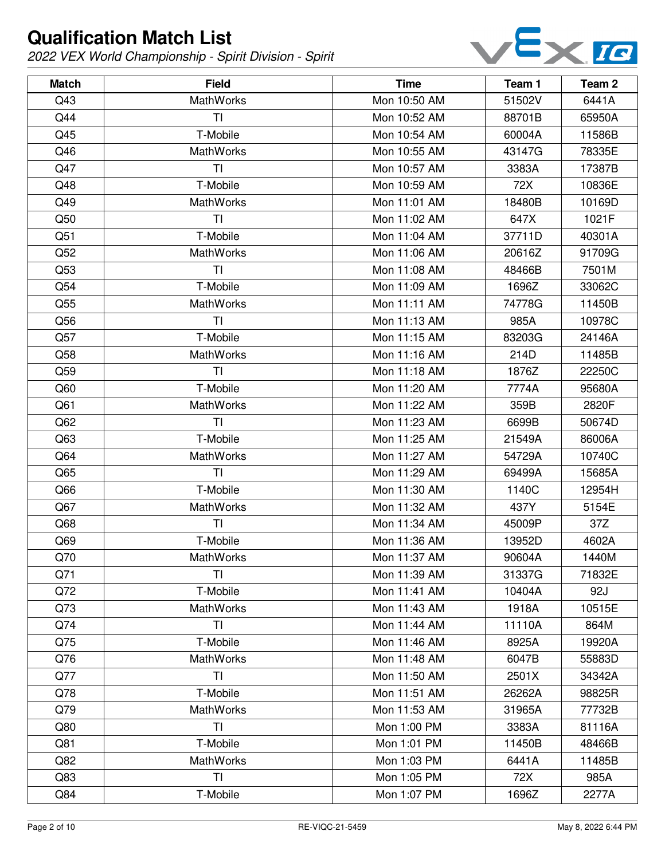

| <b>Match</b>    | <b>Field</b>     | <b>Time</b>  | Team 1 | Team 2 |
|-----------------|------------------|--------------|--------|--------|
| Q43             | <b>MathWorks</b> | Mon 10:50 AM | 51502V | 6441A  |
| Q44             | TI               | Mon 10:52 AM | 88701B | 65950A |
| Q45             | T-Mobile         | Mon 10:54 AM | 60004A | 11586B |
| Q46             | <b>MathWorks</b> | Mon 10:55 AM | 43147G | 78335E |
| Q47             | TI               | Mon 10:57 AM | 3383A  | 17387B |
| Q48             | T-Mobile         | Mon 10:59 AM | 72X    | 10836E |
| Q49             | MathWorks        | Mon 11:01 AM | 18480B | 10169D |
| Q50             | TI               | Mon 11:02 AM | 647X   | 1021F  |
| Q51             | T-Mobile         | Mon 11:04 AM | 37711D | 40301A |
| Q52             | <b>MathWorks</b> | Mon 11:06 AM | 20616Z | 91709G |
| Q53             | TI               | Mon 11:08 AM | 48466B | 7501M  |
| Q54             | T-Mobile         | Mon 11:09 AM | 1696Z  | 33062C |
| Q <sub>55</sub> | <b>MathWorks</b> | Mon 11:11 AM | 74778G | 11450B |
| Q56             | TI               | Mon 11:13 AM | 985A   | 10978C |
| Q57             | T-Mobile         | Mon 11:15 AM | 83203G | 24146A |
| Q58             | <b>MathWorks</b> | Mon 11:16 AM | 214D   | 11485B |
| Q59             | TI               | Mon 11:18 AM | 1876Z  | 22250C |
| Q60             | T-Mobile         | Mon 11:20 AM | 7774A  | 95680A |
| Q61             | <b>MathWorks</b> | Mon 11:22 AM | 359B   | 2820F  |
| Q62             | TI               | Mon 11:23 AM | 6699B  | 50674D |
| Q63             | T-Mobile         | Mon 11:25 AM | 21549A | 86006A |
| Q64             | <b>MathWorks</b> | Mon 11:27 AM | 54729A | 10740C |
| Q65             | TI               | Mon 11:29 AM | 69499A | 15685A |
| Q66             | T-Mobile         | Mon 11:30 AM | 1140C  | 12954H |
| Q67             | <b>MathWorks</b> | Mon 11:32 AM | 437Y   | 5154E  |
| Q68             | T <sub>l</sub>   | Mon 11:34 AM | 45009P | 37Z    |
| Q69             | T-Mobile         | Mon 11:36 AM | 13952D | 4602A  |
| Q70             | MathWorks        | Mon 11:37 AM | 90604A | 1440M  |
| Q71             | ΤI               | Mon 11:39 AM | 31337G | 71832E |
| Q72             | T-Mobile         | Mon 11:41 AM | 10404A | 92J    |
| Q73             | <b>MathWorks</b> | Mon 11:43 AM | 1918A  | 10515E |
| Q74             | TI               | Mon 11:44 AM | 11110A | 864M   |
| Q75             | T-Mobile         | Mon 11:46 AM | 8925A  | 19920A |
| Q76             | <b>MathWorks</b> | Mon 11:48 AM | 6047B  | 55883D |
| Q77             | <b>TI</b>        | Mon 11:50 AM | 2501X  | 34342A |
| Q78             | T-Mobile         | Mon 11:51 AM | 26262A | 98825R |
| Q79             | <b>MathWorks</b> | Mon 11:53 AM | 31965A | 77732B |
| Q80             | <b>TI</b>        | Mon 1:00 PM  | 3383A  | 81116A |
| Q81             | T-Mobile         | Mon 1:01 PM  | 11450B | 48466B |
| Q82             | <b>MathWorks</b> | Mon 1:03 PM  | 6441A  | 11485B |
| Q83             | <b>TI</b>        | Mon 1:05 PM  | 72X    | 985A   |
| Q84             | T-Mobile         | Mon 1:07 PM  | 1696Z  | 2277A  |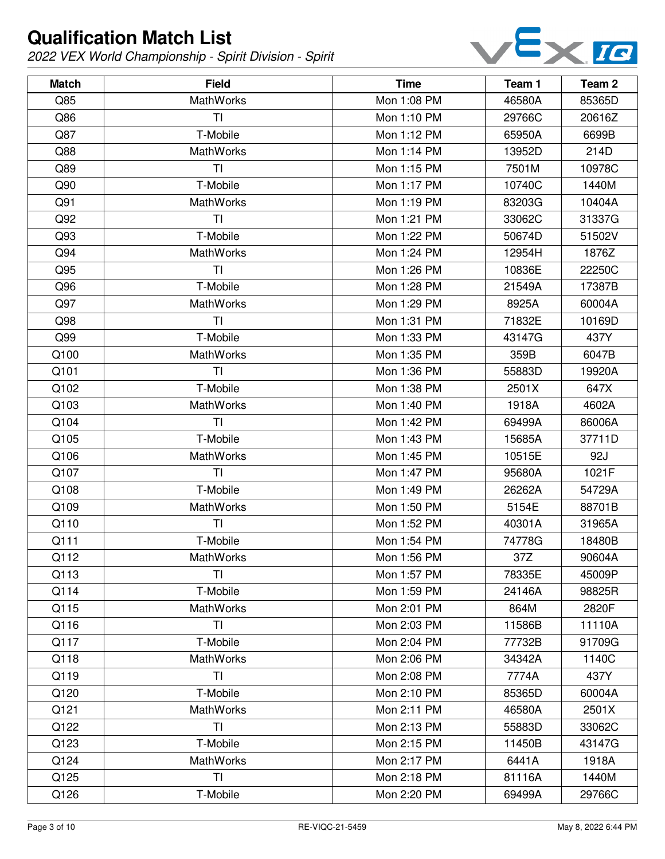

| <b>Match</b> | <b>Field</b>     | <b>Time</b> | Team 1 | Team 2 |
|--------------|------------------|-------------|--------|--------|
| Q85          | <b>MathWorks</b> | Mon 1:08 PM | 46580A | 85365D |
| Q86          | TI               | Mon 1:10 PM | 29766C | 20616Z |
| Q87          | T-Mobile         | Mon 1:12 PM | 65950A | 6699B  |
| Q88          | <b>MathWorks</b> | Mon 1:14 PM | 13952D | 214D   |
| Q89          | <b>TI</b>        | Mon 1:15 PM | 7501M  | 10978C |
| Q90          | T-Mobile         | Mon 1:17 PM | 10740C | 1440M  |
| Q91          | <b>MathWorks</b> | Mon 1:19 PM | 83203G | 10404A |
| Q92          | TI               | Mon 1:21 PM | 33062C | 31337G |
| Q93          | T-Mobile         | Mon 1:22 PM | 50674D | 51502V |
| Q94          | <b>MathWorks</b> | Mon 1:24 PM | 12954H | 1876Z  |
| Q95          | TI               | Mon 1:26 PM | 10836E | 22250C |
| Q96          | T-Mobile         | Mon 1:28 PM | 21549A | 17387B |
| Q97          | <b>MathWorks</b> | Mon 1:29 PM | 8925A  | 60004A |
| Q98          | TI               | Mon 1:31 PM | 71832E | 10169D |
| Q99          | T-Mobile         | Mon 1:33 PM | 43147G | 437Y   |
| Q100         | <b>MathWorks</b> | Mon 1:35 PM | 359B   | 6047B  |
| Q101         | TI               | Mon 1:36 PM | 55883D | 19920A |
| Q102         | T-Mobile         | Mon 1:38 PM | 2501X  | 647X   |
| Q103         | <b>MathWorks</b> | Mon 1:40 PM | 1918A  | 4602A  |
| Q104         | TI               | Mon 1:42 PM | 69499A | 86006A |
| Q105         | T-Mobile         | Mon 1:43 PM | 15685A | 37711D |
| Q106         | <b>MathWorks</b> | Mon 1:45 PM | 10515E | 92J    |
| Q107         | TI               | Mon 1:47 PM | 95680A | 1021F  |
| Q108         | T-Mobile         | Mon 1:49 PM | 26262A | 54729A |
| Q109         | MathWorks        | Mon 1:50 PM | 5154E  | 88701B |
| Q110         | T <sub>l</sub>   | Mon 1:52 PM | 40301A | 31965A |
| Q111         | T-Mobile         | Mon 1:54 PM | 74778G | 18480B |
| Q112         | MathWorks        | Mon 1:56 PM | 37Z    | 90604A |
| Q113         | ΤI               | Mon 1:57 PM | 78335E | 45009P |
| Q114         | T-Mobile         | Mon 1:59 PM | 24146A | 98825R |
| Q115         | <b>MathWorks</b> | Mon 2:01 PM | 864M   | 2820F  |
| Q116         | TI               | Mon 2:03 PM | 11586B | 11110A |
| Q117         | T-Mobile         | Mon 2:04 PM | 77732B | 91709G |
| Q118         | <b>MathWorks</b> | Mon 2:06 PM | 34342A | 1140C  |
| Q119         | TI               | Mon 2:08 PM | 7774A  | 437Y   |
| Q120         | T-Mobile         | Mon 2:10 PM | 85365D | 60004A |
| Q121         | <b>MathWorks</b> | Mon 2:11 PM | 46580A | 2501X  |
| Q122         | <b>TI</b>        | Mon 2:13 PM | 55883D | 33062C |
| Q123         | T-Mobile         | Mon 2:15 PM | 11450B | 43147G |
| Q124         | <b>MathWorks</b> | Mon 2:17 PM | 6441A  | 1918A  |
| Q125         | TI               | Mon 2:18 PM | 81116A | 1440M  |
| Q126         | T-Mobile         | Mon 2:20 PM | 69499A | 29766C |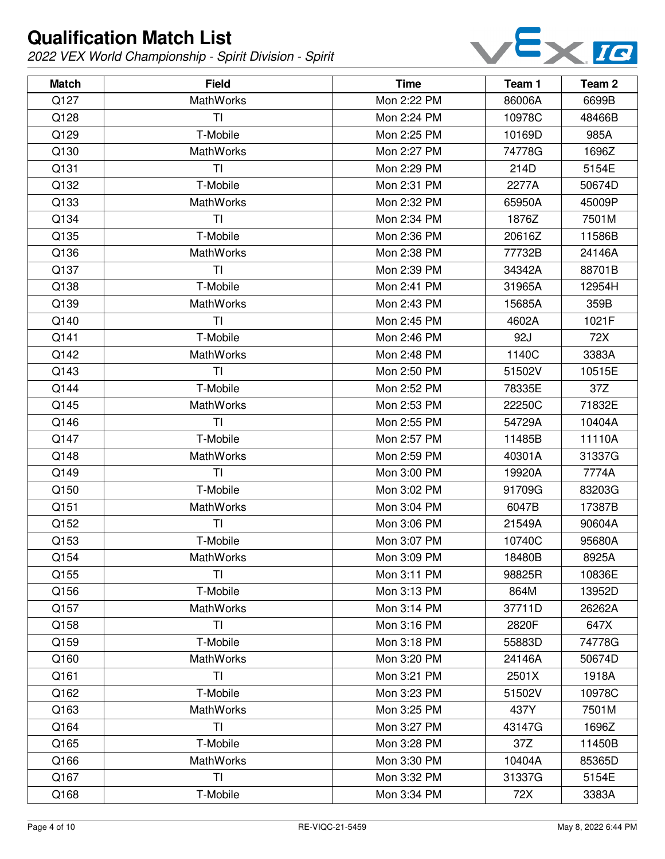

| <b>Match</b> | <b>Field</b>     | <b>Time</b> | Team 1 | Team <sub>2</sub> |
|--------------|------------------|-------------|--------|-------------------|
| Q127         | MathWorks        | Mon 2:22 PM | 86006A | 6699B             |
| Q128         | TI               | Mon 2:24 PM | 10978C | 48466B            |
| Q129         | T-Mobile         | Mon 2:25 PM | 10169D | 985A              |
| Q130         | <b>MathWorks</b> | Mon 2:27 PM | 74778G | 1696Z             |
| Q131         | TI               | Mon 2:29 PM | 214D   | 5154E             |
| Q132         | T-Mobile         | Mon 2:31 PM | 2277A  | 50674D            |
| Q133         | <b>MathWorks</b> | Mon 2:32 PM | 65950A | 45009P            |
| Q134         | TI               | Mon 2:34 PM | 1876Z  | 7501M             |
| Q135         | T-Mobile         | Mon 2:36 PM | 20616Z | 11586B            |
| Q136         | MathWorks        | Mon 2:38 PM | 77732B | 24146A            |
| Q137         | <b>TI</b>        | Mon 2:39 PM | 34342A | 88701B            |
| Q138         | T-Mobile         | Mon 2:41 PM | 31965A | 12954H            |
| Q139         | <b>MathWorks</b> | Mon 2:43 PM | 15685A | 359B              |
| Q140         | TI               | Mon 2:45 PM | 4602A  | 1021F             |
| Q141         | T-Mobile         | Mon 2:46 PM | 92J    | 72X               |
| Q142         | MathWorks        | Mon 2:48 PM | 1140C  | 3383A             |
| Q143         | TI               | Mon 2:50 PM | 51502V | 10515E            |
| Q144         | T-Mobile         | Mon 2:52 PM | 78335E | 37Z               |
| Q145         | MathWorks        | Mon 2:53 PM | 22250C | 71832E            |
| Q146         | TI               | Mon 2:55 PM | 54729A | 10404A            |
| Q147         | T-Mobile         | Mon 2:57 PM | 11485B | 11110A            |
| Q148         | MathWorks        | Mon 2:59 PM | 40301A | 31337G            |
| Q149         | TI               | Mon 3:00 PM | 19920A | 7774A             |
| Q150         | T-Mobile         | Mon 3:02 PM | 91709G | 83203G            |
| Q151         | <b>MathWorks</b> | Mon 3:04 PM | 6047B  | 17387B            |
| Q152         | TI               | Mon 3:06 PM | 21549A | 90604A            |
| Q153         | T-Mobile         | Mon 3:07 PM | 10740C | 95680A            |
| Q154         | MathWorks        | Mon 3:09 PM | 18480B | 8925A             |
| Q155         | TI               | Mon 3:11 PM | 98825R | 10836E            |
| Q156         | T-Mobile         | Mon 3:13 PM | 864M   | 13952D            |
| Q157         | MathWorks        | Mon 3:14 PM | 37711D | 26262A            |
| Q158         | TI               | Mon 3:16 PM | 2820F  | 647X              |
| Q159         | T-Mobile         | Mon 3:18 PM | 55883D | 74778G            |
| Q160         | <b>MathWorks</b> | Mon 3:20 PM | 24146A | 50674D            |
| Q161         | TI               | Mon 3:21 PM | 2501X  | 1918A             |
| Q162         | T-Mobile         | Mon 3:23 PM | 51502V | 10978C            |
| Q163         | <b>MathWorks</b> | Mon 3:25 PM | 437Y   | 7501M             |
| Q164         | <b>TI</b>        | Mon 3:27 PM | 43147G | 1696Z             |
| Q165         | T-Mobile         | Mon 3:28 PM | 37Z    | 11450B            |
| Q166         | MathWorks        | Mon 3:30 PM | 10404A | 85365D            |
| Q167         | TI               | Mon 3:32 PM | 31337G | 5154E             |
| Q168         | T-Mobile         | Mon 3:34 PM | 72X    | 3383A             |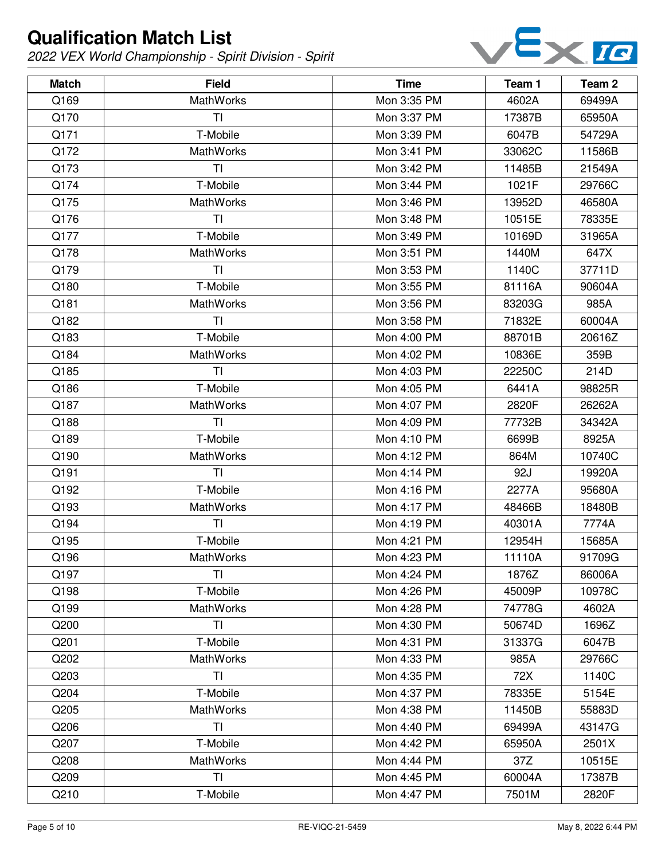

| <b>Match</b> | <b>Field</b>     | <b>Time</b> | Team 1 | Team 2 |
|--------------|------------------|-------------|--------|--------|
| Q169         | MathWorks        | Mon 3:35 PM | 4602A  | 69499A |
| Q170         | ΤI               | Mon 3:37 PM | 17387B | 65950A |
| Q171         | T-Mobile         | Mon 3:39 PM | 6047B  | 54729A |
| Q172         | MathWorks        | Mon 3:41 PM | 33062C | 11586B |
| Q173         | ΤI               | Mon 3:42 PM | 11485B | 21549A |
| Q174         | T-Mobile         | Mon 3:44 PM | 1021F  | 29766C |
| Q175         | <b>MathWorks</b> | Mon 3:46 PM | 13952D | 46580A |
| Q176         | <b>TI</b>        | Mon 3:48 PM | 10515E | 78335E |
| Q177         | T-Mobile         | Mon 3:49 PM | 10169D | 31965A |
| Q178         | <b>MathWorks</b> | Mon 3:51 PM | 1440M  | 647X   |
| Q179         | TI               | Mon 3:53 PM | 1140C  | 37711D |
| Q180         | T-Mobile         | Mon 3:55 PM | 81116A | 90604A |
| Q181         | MathWorks        | Mon 3:56 PM | 83203G | 985A   |
| Q182         | TI               | Mon 3:58 PM | 71832E | 60004A |
| Q183         | T-Mobile         | Mon 4:00 PM | 88701B | 20616Z |
| Q184         | MathWorks        | Mon 4:02 PM | 10836E | 359B   |
| Q185         | TI               | Mon 4:03 PM | 22250C | 214D   |
| Q186         | T-Mobile         | Mon 4:05 PM | 6441A  | 98825R |
| Q187         | MathWorks        | Mon 4:07 PM | 2820F  | 26262A |
| Q188         | TI               | Mon 4:09 PM | 77732B | 34342A |
| Q189         | T-Mobile         | Mon 4:10 PM | 6699B  | 8925A  |
| Q190         | MathWorks        | Mon 4:12 PM | 864M   | 10740C |
| Q191         | TI               | Mon 4:14 PM | 92J    | 19920A |
| Q192         | T-Mobile         | Mon 4:16 PM | 2277A  | 95680A |
| Q193         | MathWorks        | Mon 4:17 PM | 48466B | 18480B |
| Q194         | TI               | Mon 4:19 PM | 40301A | 7774A  |
| Q195         | T-Mobile         | Mon 4:21 PM | 12954H | 15685A |
| Q196         | MathWorks        | Mon 4:23 PM | 11110A | 91709G |
| Q197         | TI               | Mon 4:24 PM | 1876Z  | 86006A |
| Q198         | T-Mobile         | Mon 4:26 PM | 45009P | 10978C |
| Q199         | MathWorks        | Mon 4:28 PM | 74778G | 4602A  |
| Q200         | TI               | Mon 4:30 PM | 50674D | 1696Z  |
| Q201         | T-Mobile         | Mon 4:31 PM | 31337G | 6047B  |
| Q202         | <b>MathWorks</b> | Mon 4:33 PM | 985A   | 29766C |
| Q203         | TI               | Mon 4:35 PM | 72X    | 1140C  |
| Q204         | T-Mobile         | Mon 4:37 PM | 78335E | 5154E  |
| Q205         | MathWorks        | Mon 4:38 PM | 11450B | 55883D |
| Q206         | <b>TI</b>        | Mon 4:40 PM | 69499A | 43147G |
| Q207         | T-Mobile         | Mon 4:42 PM | 65950A | 2501X  |
| Q208         | MathWorks        | Mon 4:44 PM | 37Z    | 10515E |
| Q209         | TI               | Mon 4:45 PM | 60004A | 17387B |
| Q210         | T-Mobile         | Mon 4:47 PM | 7501M  | 2820F  |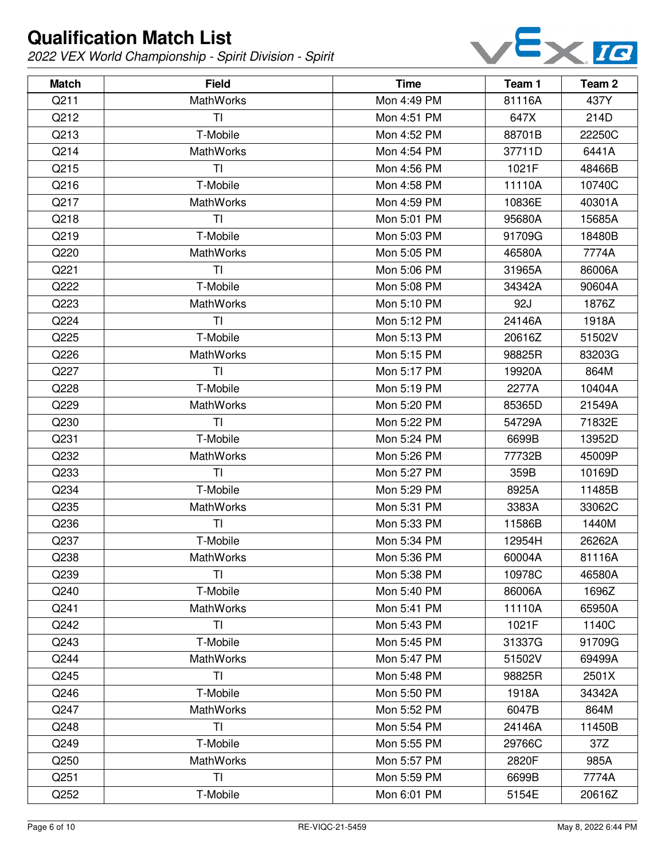

| <b>Match</b> | <b>Field</b>     | <b>Time</b> | Team 1 | Team <sub>2</sub> |
|--------------|------------------|-------------|--------|-------------------|
| Q211         | <b>MathWorks</b> | Mon 4:49 PM | 81116A | 437Y              |
| Q212         | TI               | Mon 4:51 PM | 647X   | 214D              |
| Q213         | T-Mobile         | Mon 4:52 PM | 88701B | 22250C            |
| Q214         | <b>MathWorks</b> | Mon 4:54 PM | 37711D | 6441A             |
| Q215         | TI               | Mon 4:56 PM | 1021F  | 48466B            |
| Q216         | T-Mobile         | Mon 4:58 PM | 11110A | 10740C            |
| Q217         | <b>MathWorks</b> | Mon 4:59 PM | 10836E | 40301A            |
| Q218         | TI               | Mon 5:01 PM | 95680A | 15685A            |
| Q219         | T-Mobile         | Mon 5:03 PM | 91709G | 18480B            |
| Q220         | <b>MathWorks</b> | Mon 5:05 PM | 46580A | 7774A             |
| Q221         | TI               | Mon 5:06 PM | 31965A | 86006A            |
| Q222         | T-Mobile         | Mon 5:08 PM | 34342A | 90604A            |
| Q223         | <b>MathWorks</b> | Mon 5:10 PM | 92J    | 1876Z             |
| Q224         | TI               | Mon 5:12 PM | 24146A | 1918A             |
| Q225         | T-Mobile         | Mon 5:13 PM | 20616Z | 51502V            |
| Q226         | <b>MathWorks</b> | Mon 5:15 PM | 98825R | 83203G            |
| Q227         | <b>TI</b>        | Mon 5:17 PM | 19920A | 864M              |
| Q228         | T-Mobile         | Mon 5:19 PM | 2277A  | 10404A            |
| Q229         | <b>MathWorks</b> | Mon 5:20 PM | 85365D | 21549A            |
| Q230         | TI               | Mon 5:22 PM | 54729A | 71832E            |
| Q231         | T-Mobile         | Mon 5:24 PM | 6699B  | 13952D            |
| Q232         | <b>MathWorks</b> | Mon 5:26 PM | 77732B | 45009P            |
| Q233         | TI               | Mon 5:27 PM | 359B   | 10169D            |
| Q234         | T-Mobile         | Mon 5:29 PM | 8925A  | 11485B            |
| Q235         | <b>MathWorks</b> | Mon 5:31 PM | 3383A  | 33062C            |
| Q236         | TI               | Mon 5:33 PM | 11586B | 1440M             |
| Q237         | T-Mobile         | Mon 5:34 PM | 12954H | 26262A            |
| Q238         | MathWorks        | Mon 5:36 PM | 60004A | 81116A            |
| Q239         | TI               | Mon 5:38 PM | 10978C | 46580A            |
| Q240         | T-Mobile         | Mon 5:40 PM | 86006A | 1696Z             |
| Q241         | <b>MathWorks</b> | Mon 5:41 PM | 11110A | 65950A            |
| Q242         | TI               | Mon 5:43 PM | 1021F  | 1140C             |
| Q243         | T-Mobile         | Mon 5:45 PM | 31337G | 91709G            |
| Q244         | <b>MathWorks</b> | Mon 5:47 PM | 51502V | 69499A            |
| Q245         | TI               | Mon 5:48 PM | 98825R | 2501X             |
| Q246         | T-Mobile         | Mon 5:50 PM | 1918A  | 34342A            |
| Q247         | <b>MathWorks</b> | Mon 5:52 PM | 6047B  | 864M              |
| Q248         | TI               | Mon 5:54 PM | 24146A | 11450B            |
| Q249         | T-Mobile         | Mon 5:55 PM | 29766C | 37Z               |
| Q250         | <b>MathWorks</b> | Mon 5:57 PM | 2820F  | 985A              |
| Q251         | TI               | Mon 5:59 PM | 6699B  | 7774A             |
| Q252         | T-Mobile         | Mon 6:01 PM | 5154E  | 20616Z            |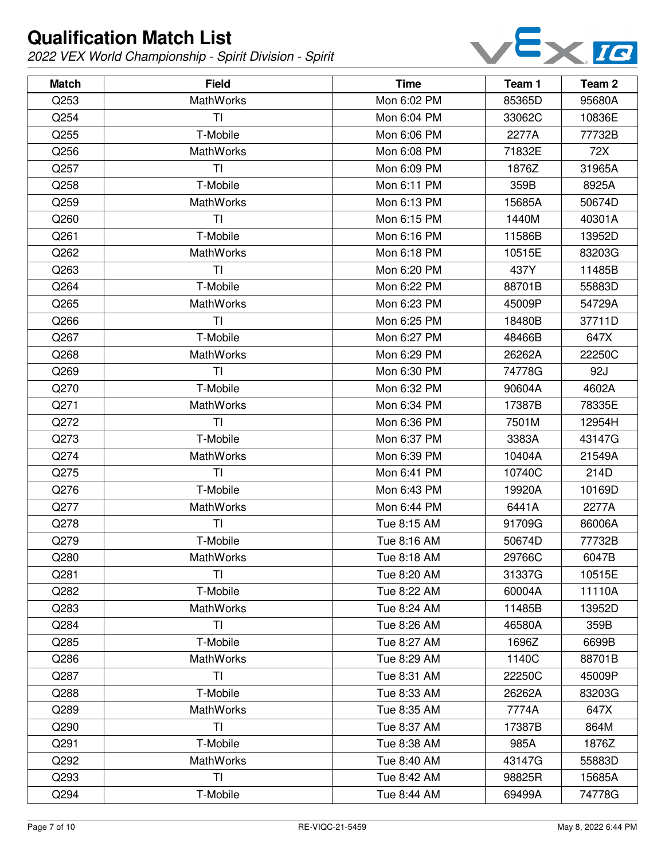

| <b>Match</b> | <b>Field</b>     | <b>Time</b> | Team 1 | Team 2 |
|--------------|------------------|-------------|--------|--------|
| Q253         | <b>MathWorks</b> | Mon 6:02 PM | 85365D | 95680A |
| Q254         | TI               | Mon 6:04 PM | 33062C | 10836E |
| Q255         | T-Mobile         | Mon 6:06 PM | 2277A  | 77732B |
| Q256         | <b>MathWorks</b> | Mon 6:08 PM | 71832E | 72X    |
| Q257         | <b>TI</b>        | Mon 6:09 PM | 1876Z  | 31965A |
| Q258         | T-Mobile         | Mon 6:11 PM | 359B   | 8925A  |
| Q259         | <b>MathWorks</b> | Mon 6:13 PM | 15685A | 50674D |
| Q260         | TI               | Mon 6:15 PM | 1440M  | 40301A |
| Q261         | T-Mobile         | Mon 6:16 PM | 11586B | 13952D |
| Q262         | <b>MathWorks</b> | Mon 6:18 PM | 10515E | 83203G |
| Q263         | TI               | Mon 6:20 PM | 437Y   | 11485B |
| Q264         | T-Mobile         | Mon 6:22 PM | 88701B | 55883D |
| Q265         | <b>MathWorks</b> | Mon 6:23 PM | 45009P | 54729A |
| Q266         | TI               | Mon 6:25 PM | 18480B | 37711D |
| Q267         | T-Mobile         | Mon 6:27 PM | 48466B | 647X   |
| Q268         | <b>MathWorks</b> | Mon 6:29 PM | 26262A | 22250C |
| Q269         | TI               | Mon 6:30 PM | 74778G | 92J    |
| Q270         | T-Mobile         | Mon 6:32 PM | 90604A | 4602A  |
| Q271         | <b>MathWorks</b> | Mon 6:34 PM | 17387B | 78335E |
| Q272         | TI               | Mon 6:36 PM | 7501M  | 12954H |
| Q273         | T-Mobile         | Mon 6:37 PM | 3383A  | 43147G |
| Q274         | <b>MathWorks</b> | Mon 6:39 PM | 10404A | 21549A |
| Q275         | <b>TI</b>        | Mon 6:41 PM | 10740C | 214D   |
| Q276         | T-Mobile         | Mon 6:43 PM | 19920A | 10169D |
| Q277         | MathWorks        | Mon 6:44 PM | 6441A  | 2277A  |
| Q278         | TI               | Tue 8:15 AM | 91709G | 86006A |
| Q279         | T-Mobile         | Tue 8:16 AM | 50674D | 77732B |
| Q280         | MathWorks        | Tue 8:18 AM | 29766C | 6047B  |
| Q281         | ΤI               | Tue 8:20 AM | 31337G | 10515E |
| Q282         | T-Mobile         | Tue 8:22 AM | 60004A | 11110A |
| Q283         | <b>MathWorks</b> | Tue 8:24 AM | 11485B | 13952D |
| Q284         | TI               | Tue 8:26 AM | 46580A | 359B   |
| Q285         | T-Mobile         | Tue 8:27 AM | 1696Z  | 6699B  |
| Q286         | <b>MathWorks</b> | Tue 8:29 AM | 1140C  | 88701B |
| Q287         | TI               | Tue 8:31 AM | 22250C | 45009P |
| Q288         | T-Mobile         | Tue 8:33 AM | 26262A | 83203G |
| Q289         | <b>MathWorks</b> | Tue 8:35 AM | 7774A  | 647X   |
| Q290         | <b>TI</b>        | Tue 8:37 AM | 17387B | 864M   |
| Q291         | T-Mobile         | Tue 8:38 AM | 985A   | 1876Z  |
| Q292         | <b>MathWorks</b> | Tue 8:40 AM | 43147G | 55883D |
| Q293         | TI               | Tue 8:42 AM | 98825R | 15685A |
| Q294         | T-Mobile         | Tue 8:44 AM | 69499A | 74778G |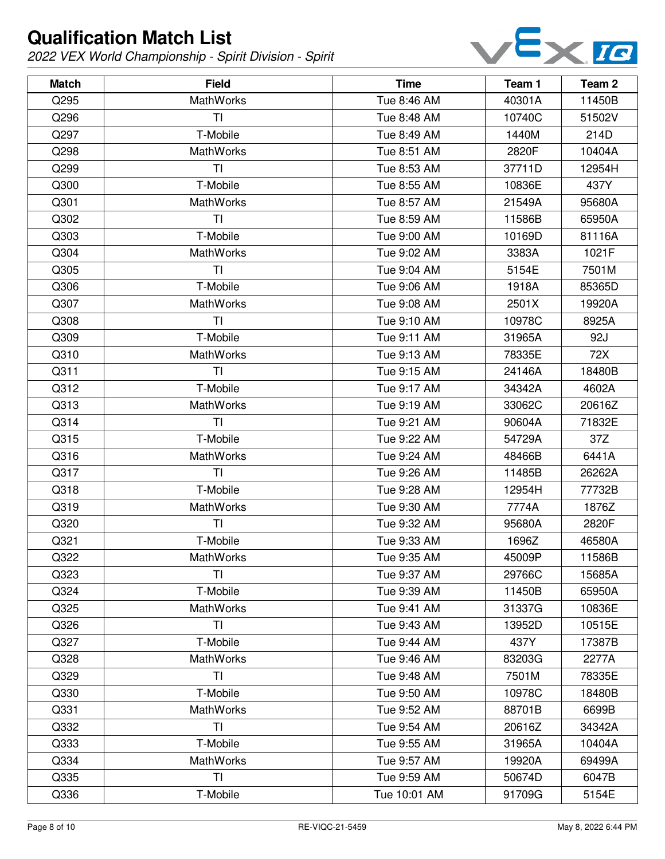

| <b>Match</b> | <b>Field</b>     | <b>Time</b>  | Team 1 | Team 2 |
|--------------|------------------|--------------|--------|--------|
| Q295         | <b>MathWorks</b> | Tue 8:46 AM  | 40301A | 11450B |
| Q296         | TI               | Tue 8:48 AM  | 10740C | 51502V |
| Q297         | T-Mobile         | Tue 8:49 AM  | 1440M  | 214D   |
| Q298         | <b>MathWorks</b> | Tue 8:51 AM  | 2820F  | 10404A |
| Q299         | TI               | Tue 8:53 AM  | 37711D | 12954H |
| Q300         | T-Mobile         | Tue 8:55 AM  | 10836E | 437Y   |
| Q301         | <b>MathWorks</b> | Tue 8:57 AM  | 21549A | 95680A |
| Q302         | TI               | Tue 8:59 AM  | 11586B | 65950A |
| Q303         | T-Mobile         | Tue 9:00 AM  | 10169D | 81116A |
| Q304         | <b>MathWorks</b> | Tue 9:02 AM  | 3383A  | 1021F  |
| Q305         | TI               | Tue 9:04 AM  | 5154E  | 7501M  |
| Q306         | T-Mobile         | Tue 9:06 AM  | 1918A  | 85365D |
| Q307         | <b>MathWorks</b> | Tue 9:08 AM  | 2501X  | 19920A |
| Q308         | TI               | Tue 9:10 AM  | 10978C | 8925A  |
| Q309         | T-Mobile         | Tue 9:11 AM  | 31965A | 92J    |
| Q310         | <b>MathWorks</b> | Tue 9:13 AM  | 78335E | 72X    |
| Q311         | TI               | Tue 9:15 AM  | 24146A | 18480B |
| Q312         | T-Mobile         | Tue 9:17 AM  | 34342A | 4602A  |
| Q313         | <b>MathWorks</b> | Tue 9:19 AM  | 33062C | 20616Z |
| Q314         | TI               | Tue 9:21 AM  | 90604A | 71832E |
| Q315         | T-Mobile         | Tue 9:22 AM  | 54729A | 37Z    |
| Q316         | <b>MathWorks</b> | Tue 9:24 AM  | 48466B | 6441A  |
| Q317         | <b>TI</b>        | Tue 9:26 AM  | 11485B | 26262A |
| Q318         | T-Mobile         | Tue 9:28 AM  | 12954H | 77732B |
| Q319         | <b>MathWorks</b> | Tue 9:30 AM  | 7774A  | 1876Z  |
| Q320         | TI               | Tue 9:32 AM  | 95680A | 2820F  |
| Q321         | T-Mobile         | Tue 9:33 AM  | 1696Z  | 46580A |
| Q322         | MathWorks        | Tue 9:35 AM  | 45009P | 11586B |
| Q323         | TI               | Tue 9:37 AM  | 29766C | 15685A |
| Q324         | T-Mobile         | Tue 9:39 AM  | 11450B | 65950A |
| Q325         | <b>MathWorks</b> | Tue 9:41 AM  | 31337G | 10836E |
| Q326         | TI               | Tue 9:43 AM  | 13952D | 10515E |
| Q327         | T-Mobile         | Tue 9:44 AM  | 437Y   | 17387B |
| Q328         | <b>MathWorks</b> | Tue 9:46 AM  | 83203G | 2277A  |
| Q329         | TI               | Tue 9:48 AM  | 7501M  | 78335E |
| Q330         | T-Mobile         | Tue 9:50 AM  | 10978C | 18480B |
| Q331         | <b>MathWorks</b> | Tue 9:52 AM  | 88701B | 6699B  |
| Q332         | T <sub>l</sub>   | Tue 9:54 AM  | 20616Z | 34342A |
| Q333         | T-Mobile         | Tue 9:55 AM  | 31965A | 10404A |
| Q334         | <b>MathWorks</b> | Tue 9:57 AM  | 19920A | 69499A |
| Q335         | TI               | Tue 9:59 AM  | 50674D | 6047B  |
| Q336         | T-Mobile         | Tue 10:01 AM | 91709G | 5154E  |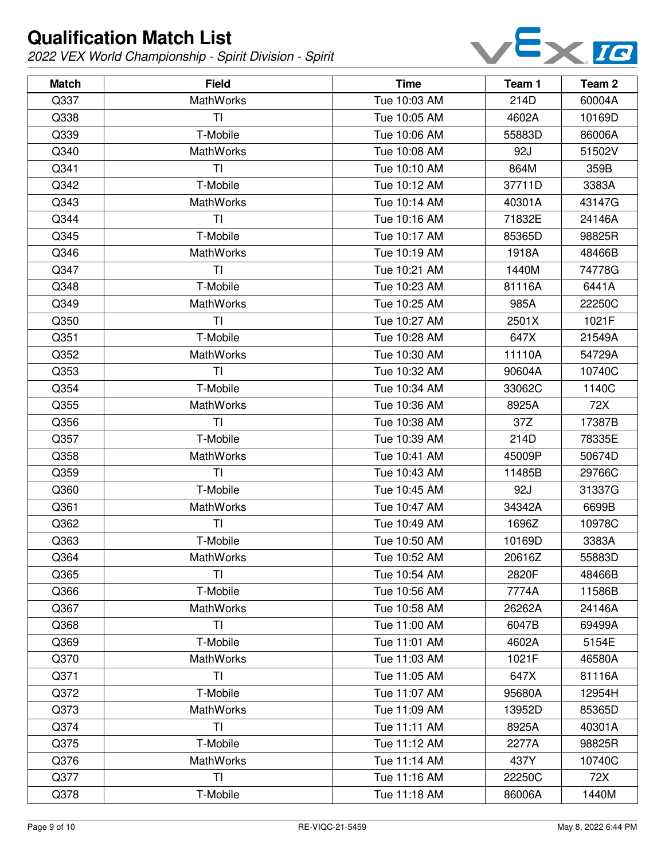

| <b>Match</b> | <b>Field</b>     | <b>Time</b>  | Team 1 | Team 2 |
|--------------|------------------|--------------|--------|--------|
| Q337         | MathWorks        | Tue 10:03 AM | 214D   | 60004A |
| Q338         | ΤI               | Tue 10:05 AM | 4602A  | 10169D |
| Q339         | T-Mobile         | Tue 10:06 AM | 55883D | 86006A |
| Q340         | MathWorks        | Tue 10:08 AM | 92J    | 51502V |
| Q341         | ΤI               | Tue 10:10 AM | 864M   | 359B   |
| Q342         | T-Mobile         | Tue 10:12 AM | 37711D | 3383A  |
| Q343         | MathWorks        | Tue 10:14 AM | 40301A | 43147G |
| Q344         | TI               | Tue 10:16 AM | 71832E | 24146A |
| Q345         | T-Mobile         | Tue 10:17 AM | 85365D | 98825R |
| Q346         | MathWorks        | Tue 10:19 AM | 1918A  | 48466B |
| Q347         | TI               | Tue 10:21 AM | 1440M  | 74778G |
| Q348         | T-Mobile         | Tue 10:23 AM | 81116A | 6441A  |
| Q349         | MathWorks        | Tue 10:25 AM | 985A   | 22250C |
| Q350         | TI               | Tue 10:27 AM | 2501X  | 1021F  |
| Q351         | T-Mobile         | Tue 10:28 AM | 647X   | 21549A |
| Q352         | MathWorks        | Tue 10:30 AM | 11110A | 54729A |
| Q353         | ΤI               | Tue 10:32 AM | 90604A | 10740C |
| Q354         | T-Mobile         | Tue 10:34 AM | 33062C | 1140C  |
| Q355         | MathWorks        | Tue 10:36 AM | 8925A  | 72X    |
| Q356         | ΤI               | Tue 10:38 AM | 37Z    | 17387B |
| Q357         | T-Mobile         | Tue 10:39 AM | 214D   | 78335E |
| Q358         | MathWorks        | Tue 10:41 AM | 45009P | 50674D |
| Q359         | TI               | Tue 10:43 AM | 11485B | 29766C |
| Q360         | T-Mobile         | Tue 10:45 AM | 92J    | 31337G |
| Q361         | MathWorks        | Tue 10:47 AM | 34342A | 6699B  |
| Q362         | TI               | Tue 10:49 AM | 1696Z  | 10978C |
| Q363         | T-Mobile         | Tue 10:50 AM | 10169D | 3383A  |
| Q364         | MathWorks        | Tue 10:52 AM | 20616Z | 55883D |
| Q365         | TI               | Tue 10:54 AM | 2820F  | 48466B |
| Q366         | T-Mobile         | Tue 10:56 AM | 7774A  | 11586B |
| Q367         | MathWorks        | Tue 10:58 AM | 26262A | 24146A |
| Q368         | ΤI               | Tue 11:00 AM | 6047B  | 69499A |
| Q369         | T-Mobile         | Tue 11:01 AM | 4602A  | 5154E  |
| Q370         | <b>MathWorks</b> | Tue 11:03 AM | 1021F  | 46580A |
| Q371         | TI               | Tue 11:05 AM | 647X   | 81116A |
| Q372         | T-Mobile         | Tue 11:07 AM | 95680A | 12954H |
| Q373         | MathWorks        | Tue 11:09 AM | 13952D | 85365D |
| Q374         | <b>TI</b>        | Tue 11:11 AM | 8925A  | 40301A |
| Q375         | T-Mobile         | Tue 11:12 AM | 2277A  | 98825R |
| Q376         | MathWorks        | Tue 11:14 AM | 437Y   | 10740C |
| Q377         | TI               | Tue 11:16 AM | 22250C | 72X    |
| Q378         | T-Mobile         | Tue 11:18 AM | 86006A | 1440M  |